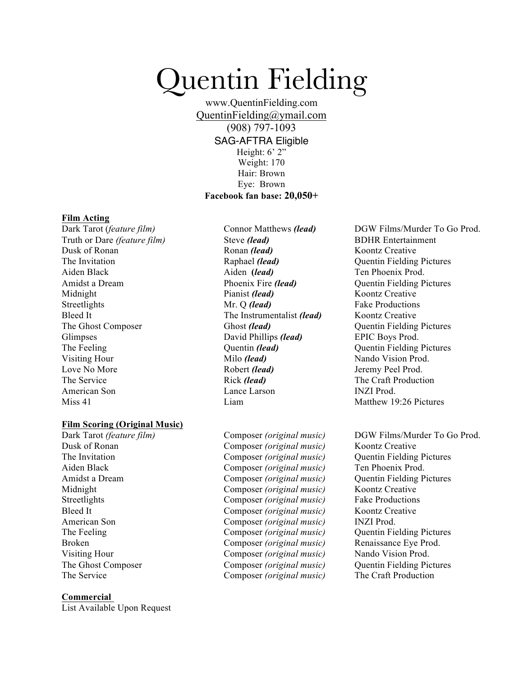# Quentin Fielding

www.QuentinFielding.com QuentinFielding@ymail.com (908) 797-1093 SAG-AFTRA Eligible Height: 6' 2" Weight: 170 Hair: Brown Eye: Brown **Facebook fan base: 20,050+**

#### **Film Acting**

Truth or Dare *(feature film)* Dusk of Ronan The Invitation Aiden Black Amidst a Dream Midnight Streetlights Bleed It The Ghost Composer Glimpses The Feeling Visiting Hour Love No More The Service American Son Miss 41

## **Film Scoring (Original Music)**

Dark Tarot *(feature film)* Dusk of Ronan The Invitation Aiden Black Amidst a Dream Midnight Streetlights Bleed It American Son The Feeling Broken Visiting Hour The Ghost Composer The Service

## **Commercial**

List Available Upon Request

Steve *(lead)* Ronan *(lead)* Raphael *(lead)* Aiden **(***lead)* Phoenix Fire *(lead)* Pianist *(lead)* Mr. Q *(lead)* The Instrumentalist *(lead)* Ghost *(lead)* David Phillips *(lead)* Quentin *(lead)* Milo *(lead)* Robert *(lead)*  Rick *(lead)*  Lance Larson Liam

Composer *(original music)* Composer *(original music)* Composer *(original music)* Composer *(original music)* Composer *(original music)* Composer *(original music)* Composer *(original music)* Composer *(original music)* Composer *(original music)* Composer *(original music)* Composer *(original music)* Composer *(original music)* Composer *(original music)* Composer *(original music)*

Dark Tarot (*feature film*) Connor Matthews *(lead)* DGW Films/Murder To Go Prod. BDHR Entertainment Koontz Creative Quentin Fielding Pictures Ten Phoenix Prod. Quentin Fielding Pictures Koontz Creative Fake Productions Koontz Creative Quentin Fielding Pictures EPIC Boys Prod. Quentin Fielding Pictures Nando Vision Prod. Jeremy Peel Prod. The Craft Production INZI Prod. Matthew 19.26 Pictures

> DGW Films/Murder To Go Prod. Koontz Creative Quentin Fielding Pictures Ten Phoenix Prod. Quentin Fielding Pictures Koontz Creative Fake Productions Koontz Creative INZI Prod. Quentin Fielding Pictures Renaissance Eye Prod. Nando Vision Prod. Quentin Fielding Pictures The Craft Production